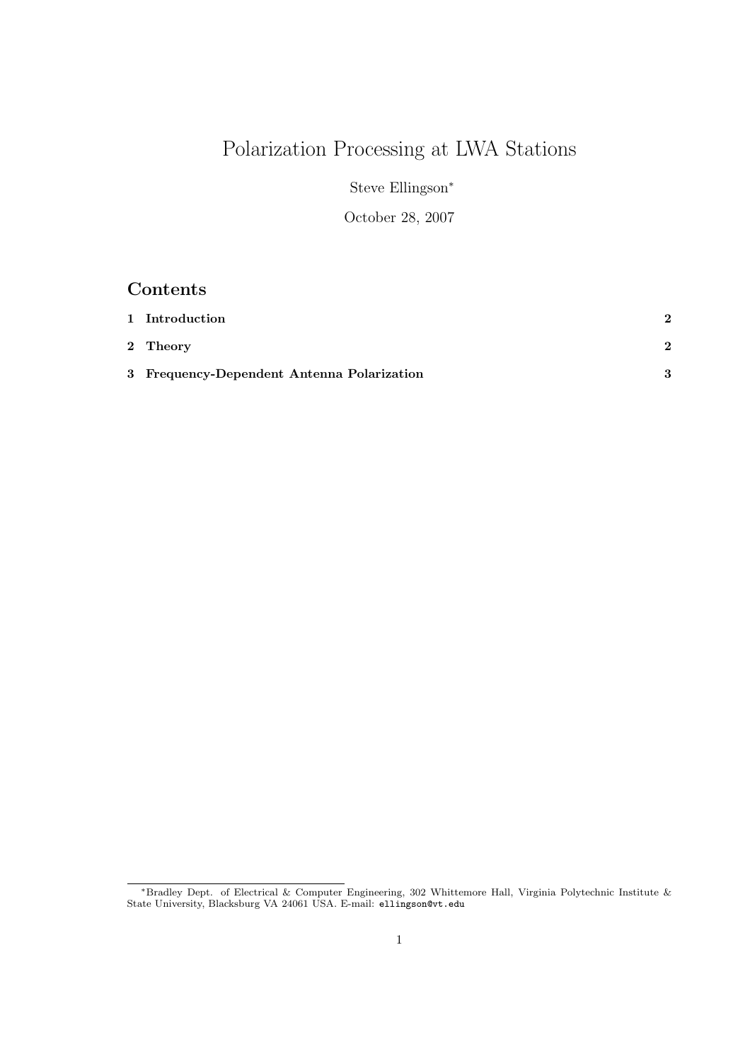# Polarization Processing at LWA Stations

Steve Ellingson<sup>∗</sup>

October 28, 2007

## Contents

| 1 Introduction                             |   |
|--------------------------------------------|---|
| 2 Theory                                   | 2 |
| 3 Frequency-Dependent Antenna Polarization |   |

<sup>∗</sup>Bradley Dept. of Electrical & Computer Engineering, 302 Whittemore Hall, Virginia Polytechnic Institute & State University, Blacksburg VA 24061 USA. E-mail: ellingson@vt.edu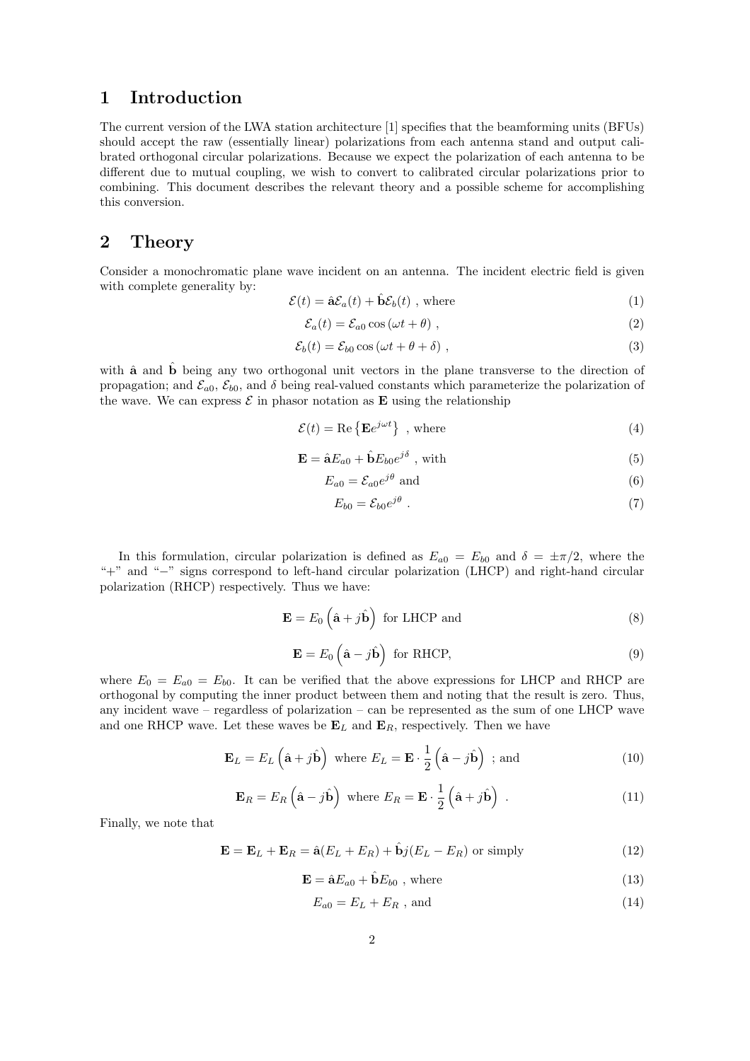#### 1 Introduction

The current version of the LWA station architecture [1] specifies that the beamforming units (BFUs) should accept the raw (essentially linear) polarizations from each antenna stand and output calibrated orthogonal circular polarizations. Because we expect the polarization of each antenna to be different due to mutual coupling, we wish to convert to calibrated circular polarizations prior to combining. This document describes the relevant theory and a possible scheme for accomplishing this conversion.

### 2 Theory

Consider a monochromatic plane wave incident on an antenna. The incident electric field is given with complete generality by:

$$
\mathcal{E}(t) = \hat{\mathbf{a}}\mathcal{E}_a(t) + \hat{\mathbf{b}}\mathcal{E}_b(t) \text{ , where } \tag{1}
$$

$$
\mathcal{E}_a(t) = \mathcal{E}_{a0} \cos(\omega t + \theta) \tag{2}
$$

$$
\mathcal{E}_b(t) = \mathcal{E}_{b0} \cos(\omega t + \theta + \delta) \tag{3}
$$

with  $\hat{a}$  and  $\hat{b}$  being any two orthogonal unit vectors in the plane transverse to the direction of propagation; and  $\mathcal{E}_{a0}$ ,  $\mathcal{E}_{b0}$ , and  $\delta$  being real-valued constants which parameterize the polarization of the wave. We can express  $\mathcal E$  in phasor notation as **E** using the relationship

$$
\mathcal{E}(t) = \text{Re}\left\{\mathbf{E}e^{j\omega t}\right\}, \text{ where}
$$
 (4)

$$
\mathbf{E} = \hat{\mathbf{a}}E_{a0} + \hat{\mathbf{b}}E_{b0}e^{j\delta} \text{ , with } (5)
$$

$$
E_{a0} = \mathcal{E}_{a0} e^{j\theta} \text{ and } \tag{6}
$$

$$
E_{b0} = \mathcal{E}_{b0} e^{j\theta} \tag{7}
$$

In this formulation, circular polarization is defined as  $E_{a0} = E_{b0}$  and  $\delta = \pm \pi/2$ , where the "+" and "−" signs correspond to left-hand circular polarization (LHCP) and right-hand circular polarization (RHCP) respectively. Thus we have:

$$
\mathbf{E} = E_0 \left( \hat{\mathbf{a}} + j \hat{\mathbf{b}} \right) \text{ for LHCP and}
$$
 (8)

$$
\mathbf{E} = E_0 \left( \hat{\mathbf{a}} - j \hat{\mathbf{b}} \right) \text{ for RHCP}, \tag{9}
$$

where  $E_0 = E_{a0} = E_{b0}$ . It can be verified that the above expressions for LHCP and RHCP are orthogonal by computing the inner product between them and noting that the result is zero. Thus, any incident wave – regardless of polarization – can be represented as the sum of one LHCP wave and one RHCP wave. Let these waves be  $\mathbf{E}_L$  and  $\mathbf{E}_R$ , respectively. Then we have

$$
\mathbf{E}_L = E_L \left( \hat{\mathbf{a}} + j \hat{\mathbf{b}} \right) \text{ where } E_L = \mathbf{E} \cdot \frac{1}{2} \left( \hat{\mathbf{a}} - j \hat{\mathbf{b}} \right) ; \text{ and } \tag{10}
$$

$$
\mathbf{E}_R = E_R \left( \hat{\mathbf{a}} - j \hat{\mathbf{b}} \right) \text{ where } E_R = \mathbf{E} \cdot \frac{1}{2} \left( \hat{\mathbf{a}} + j \hat{\mathbf{b}} \right) . \tag{11}
$$

Finally, we note that

$$
\mathbf{E} = \mathbf{E}_L + \mathbf{E}_R = \hat{\mathbf{a}}(E_L + E_R) + \hat{\mathbf{b}}j(E_L - E_R) \text{ or simply}
$$
 (12)

$$
\mathbf{E} = \hat{\mathbf{a}}E_{a0} + \hat{\mathbf{b}}E_{b0} \text{ , where } \tag{13}
$$

$$
E_{a0} = E_L + E_R
$$
, and (14)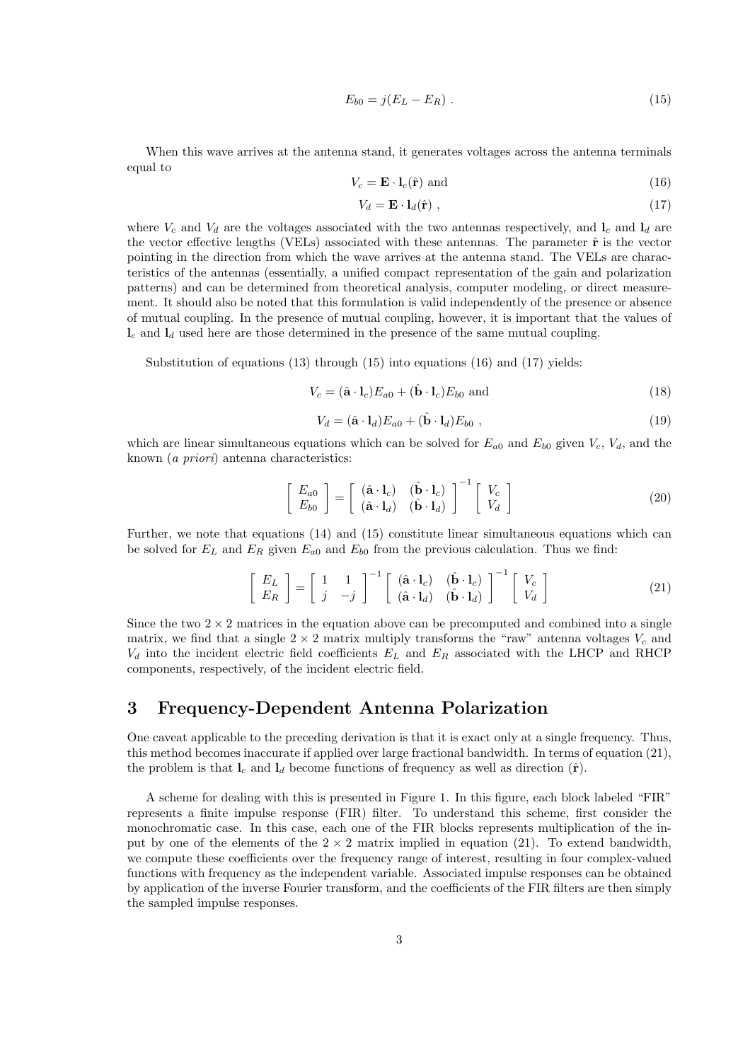$$
E_{b0} = j(E_L - E_R) \tag{15}
$$

When this wave arrives at the antenna stand, it generates voltages across the antenna terminals equal to

$$
V_c = \mathbf{E} \cdot \mathbf{l}_c(\hat{\mathbf{r}}) \text{ and } \tag{16}
$$

$$
V_d = \mathbf{E} \cdot \mathbf{l}_d(\hat{\mathbf{r}}) \tag{17}
$$

where  $V_c$  and  $V_d$  are the voltages associated with the two antennas respectively, and  $I_c$  and  $I_d$  are the vector effective lengths (VELs) associated with these antennas. The parameter  $\hat{\bf r}$  is the vector pointing in the direction from which the wave arrives at the antenna stand. The VELs are characteristics of the antennas (essentially, a unified compact representation of the gain and polarization patterns) and can be determined from theoretical analysis, computer modeling, or direct measurement. It should also be noted that this formulation is valid independently of the presence or absence of mutual coupling. In the presence of mutual coupling, however, it is important that the values of  $\mathbf{l}_c$  and  $\mathbf{l}_d$  used here are those determined in the presence of the same mutual coupling.

Substitution of equations (13) through (15) into equations (16) and (17) yields:

$$
V_c = (\hat{\mathbf{a}} \cdot \mathbf{l}_c) E_{a0} + (\hat{\mathbf{b}} \cdot \mathbf{l}_c) E_{b0} \text{ and } (18)
$$

$$
V_d = (\hat{\mathbf{a}} \cdot \mathbf{l}_d) E_{a0} + (\hat{\mathbf{b}} \cdot \mathbf{l}_d) E_{b0} , \qquad (19)
$$

which are linear simultaneous equations which can be solved for  $E_{a0}$  and  $E_{b0}$  given  $V_c$ ,  $V_d$ , and the known (a priori) antenna characteristics:

$$
\begin{bmatrix} E_{a0} \\ E_{b0} \end{bmatrix} = \begin{bmatrix} (\hat{\mathbf{a}} \cdot \mathbf{l}_c) & (\hat{\mathbf{b}} \cdot \mathbf{l}_c) \\ (\hat{\mathbf{a}} \cdot \mathbf{l}_d) & (\hat{\mathbf{b}} \cdot \mathbf{l}_d) \end{bmatrix}^{-1} \begin{bmatrix} V_c \\ V_d \end{bmatrix}
$$
(20)

Further, we note that equations (14) and (15) constitute linear simultaneous equations which can be solved for  $E_L$  and  $E_R$  given  $E_{a0}$  and  $E_{b0}$  from the previous calculation. Thus we find:

$$
\begin{bmatrix} E_L \\ E_R \end{bmatrix} = \begin{bmatrix} 1 & 1 \\ j & -j \end{bmatrix}^{-1} \begin{bmatrix} (\hat{\mathbf{a}} \cdot \mathbf{l}_c) & (\hat{\mathbf{b}} \cdot \mathbf{l}_c) \\ (\hat{\mathbf{a}} \cdot \mathbf{l}_d) & (\hat{\mathbf{b}} \cdot \mathbf{l}_d) \end{bmatrix}^{-1} \begin{bmatrix} V_c \\ V_d \end{bmatrix}
$$
(21)

Since the two  $2 \times 2$  matrices in the equation above can be precomputed and combined into a single matrix, we find that a single  $2 \times 2$  matrix multiply transforms the "raw" antenna voltages  $V_c$  and  $V_d$  into the incident electric field coefficients  $E_L$  and  $E_R$  associated with the LHCP and RHCP components, respectively, of the incident electric field.

### 3 Frequency-Dependent Antenna Polarization

One caveat applicable to the preceding derivation is that it is exact only at a single frequency. Thus, this method becomes inaccurate if applied over large fractional bandwidth. In terms of equation (21), the problem is that  $l_c$  and  $l_d$  become functions of frequency as well as direction  $(\hat{\mathbf{r}})$ .

A scheme for dealing with this is presented in Figure 1. In this figure, each block labeled "FIR" represents a finite impulse response (FIR) filter. To understand this scheme, first consider the monochromatic case. In this case, each one of the FIR blocks represents multiplication of the input by one of the elements of the  $2 \times 2$  matrix implied in equation (21). To extend bandwidth, we compute these coefficients over the frequency range of interest, resulting in four complex-valued functions with frequency as the independent variable. Associated impulse responses can be obtained by application of the inverse Fourier transform, and the coefficients of the FIR filters are then simply the sampled impulse responses.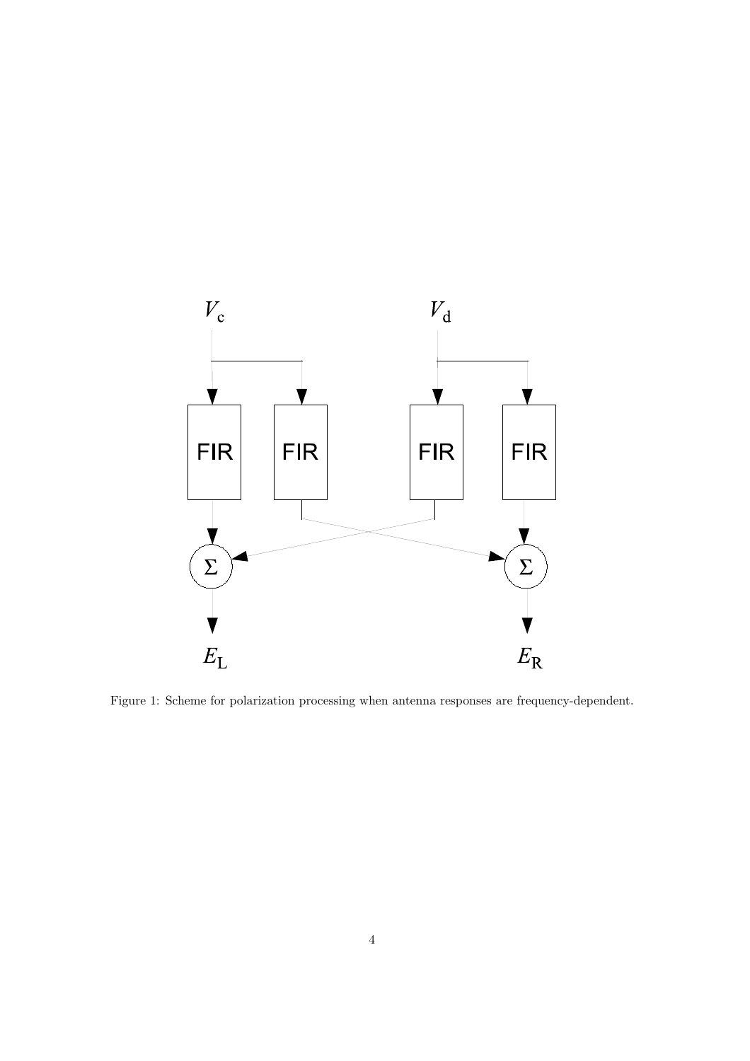

Figure 1: Scheme for polarization processing when antenna responses are frequency-dependent.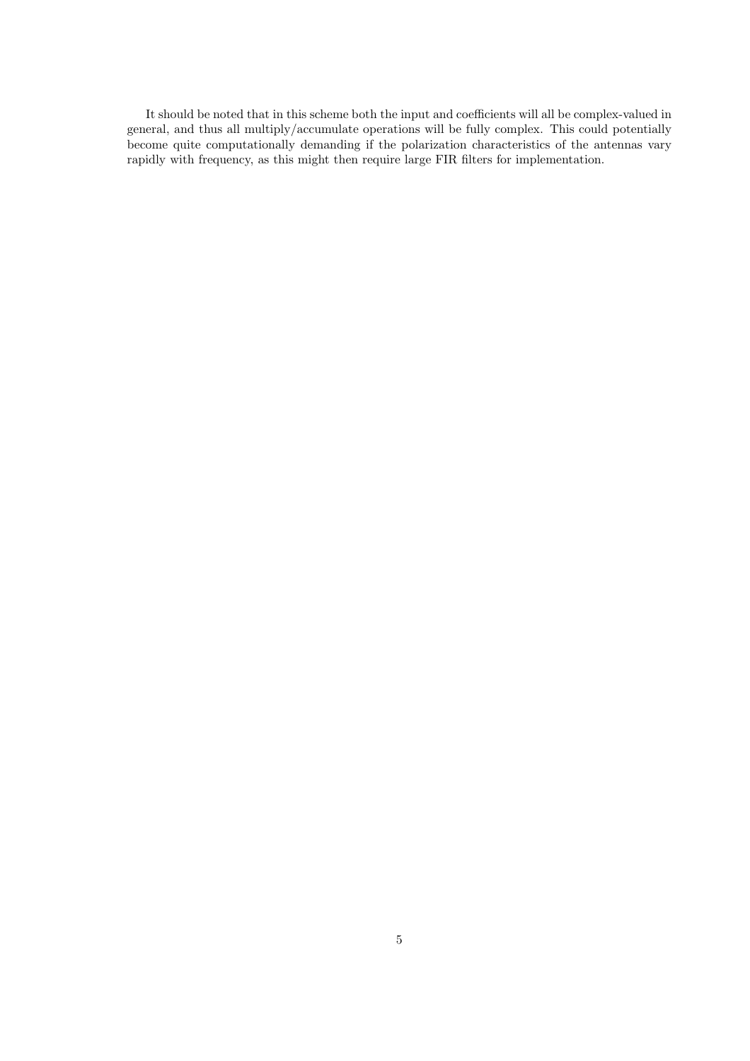It should be noted that in this scheme both the input and coefficients will all be complex-valued in general, and thus all multiply/accumulate operations will be fully complex. This could potentially become quite computationally demanding if the polarization characteristics of the antennas vary rapidly with frequency, as this might then require large FIR filters for implementation.